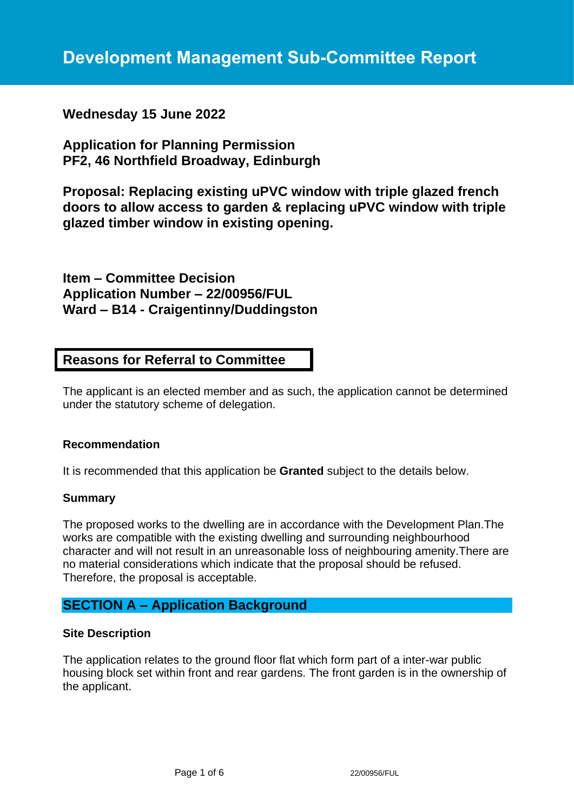# **Wednesday 15 June 2022**

**Application for Planning Permission PF2, 46 Northfield Broadway, Edinburgh**

**Proposal: Replacing existing uPVC window with triple glazed french doors to allow access to garden & replacing uPVC window with triple glazed timber window in existing opening.**

**Item – Committee Decision Application Number – 22/00956/FUL Ward – B14 - Craigentinny/Duddingston**

# **Reasons for Referral to Committee**

The applicant is an elected member and as such, the application cannot be determined under the statutory scheme of delegation.

#### **Recommendation**

It is recommended that this application be **Granted** subject to the details below.

#### **Summary**

The proposed works to the dwelling are in accordance with the Development Plan.The works are compatible with the existing dwelling and surrounding neighbourhood character and will not result in an unreasonable loss of neighbouring amenity.There are no material considerations which indicate that the proposal should be refused. Therefore, the proposal is acceptable.

### **SECTION A – Application Background**

#### **Site Description**

The application relates to the ground floor flat which form part of a inter-war public housing block set within front and rear gardens. The front garden is in the ownership of the applicant.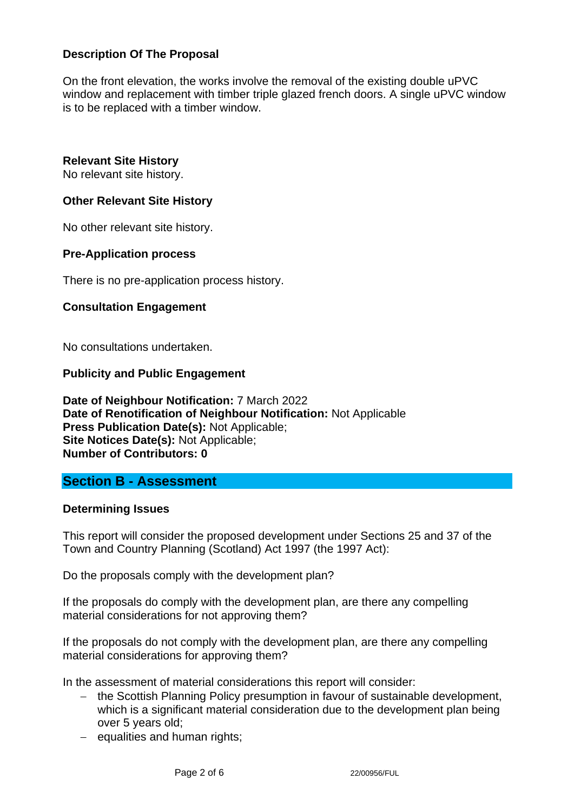### **Description Of The Proposal**

On the front elevation, the works involve the removal of the existing double uPVC window and replacement with timber triple glazed french doors. A single uPVC window is to be replaced with a timber window.

#### **Relevant Site History**

No relevant site history.

#### **Other Relevant Site History**

No other relevant site history.

#### **Pre-Application process**

There is no pre-application process history.

#### **Consultation Engagement**

No consultations undertaken.

#### **Publicity and Public Engagement**

**Date of Neighbour Notification:** 7 March 2022 **Date of Renotification of Neighbour Notification:** Not Applicable **Press Publication Date(s):** Not Applicable; **Site Notices Date(s):** Not Applicable; **Number of Contributors: 0**

### **Section B - Assessment**

#### **Determining Issues**

This report will consider the proposed development under Sections 25 and 37 of the Town and Country Planning (Scotland) Act 1997 (the 1997 Act):

Do the proposals comply with the development plan?

If the proposals do comply with the development plan, are there any compelling material considerations for not approving them?

If the proposals do not comply with the development plan, are there any compelling material considerations for approving them?

In the assessment of material considerations this report will consider:

- − the Scottish Planning Policy presumption in favour of sustainable development, which is a significant material consideration due to the development plan being over 5 years old;
- − equalities and human rights;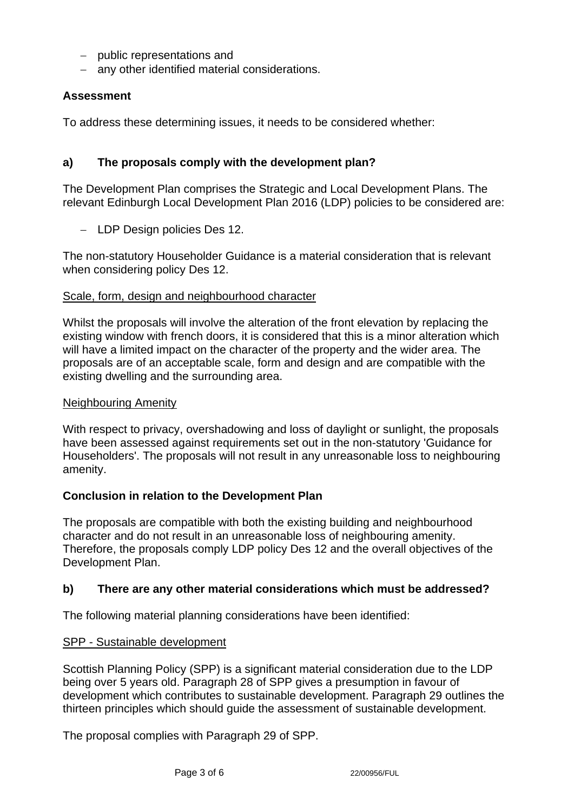- − public representations and
- − any other identified material considerations.

### **Assessment**

To address these determining issues, it needs to be considered whether:

### **a) The proposals comply with the development plan?**

The Development Plan comprises the Strategic and Local Development Plans. The relevant Edinburgh Local Development Plan 2016 (LDP) policies to be considered are:

− LDP Design policies Des 12.

The non-statutory Householder Guidance is a material consideration that is relevant when considering policy Des 12.

#### Scale, form, design and neighbourhood character

Whilst the proposals will involve the alteration of the front elevation by replacing the existing window with french doors, it is considered that this is a minor alteration which will have a limited impact on the character of the property and the wider area. The proposals are of an acceptable scale, form and design and are compatible with the existing dwelling and the surrounding area.

#### Neighbouring Amenity

With respect to privacy, overshadowing and loss of daylight or sunlight, the proposals have been assessed against requirements set out in the non-statutory 'Guidance for Householders'. The proposals will not result in any unreasonable loss to neighbouring amenity.

#### **Conclusion in relation to the Development Plan**

The proposals are compatible with both the existing building and neighbourhood character and do not result in an unreasonable loss of neighbouring amenity. Therefore, the proposals comply LDP policy Des 12 and the overall objectives of the Development Plan.

#### **b) There are any other material considerations which must be addressed?**

The following material planning considerations have been identified:

#### SPP - Sustainable development

Scottish Planning Policy (SPP) is a significant material consideration due to the LDP being over 5 years old. Paragraph 28 of SPP gives a presumption in favour of development which contributes to sustainable development. Paragraph 29 outlines the thirteen principles which should guide the assessment of sustainable development.

The proposal complies with Paragraph 29 of SPP.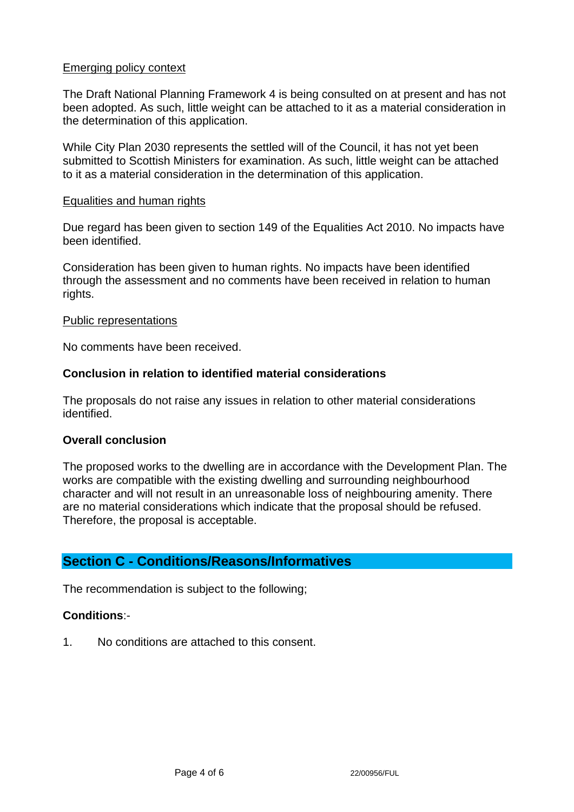#### Emerging policy context

The Draft National Planning Framework 4 is being consulted on at present and has not been adopted. As such, little weight can be attached to it as a material consideration in the determination of this application.

While City Plan 2030 represents the settled will of the Council, it has not yet been submitted to Scottish Ministers for examination. As such, little weight can be attached to it as a material consideration in the determination of this application.

#### Equalities and human rights

Due regard has been given to section 149 of the Equalities Act 2010. No impacts have been identified.

Consideration has been given to human rights. No impacts have been identified through the assessment and no comments have been received in relation to human rights.

#### Public representations

No comments have been received.

#### **Conclusion in relation to identified material considerations**

The proposals do not raise any issues in relation to other material considerations identified.

#### **Overall conclusion**

The proposed works to the dwelling are in accordance with the Development Plan. The works are compatible with the existing dwelling and surrounding neighbourhood character and will not result in an unreasonable loss of neighbouring amenity. There are no material considerations which indicate that the proposal should be refused. Therefore, the proposal is acceptable.

### **Section C - Conditions/Reasons/Informatives**

The recommendation is subject to the following;

#### **Conditions**:-

1. No conditions are attached to this consent.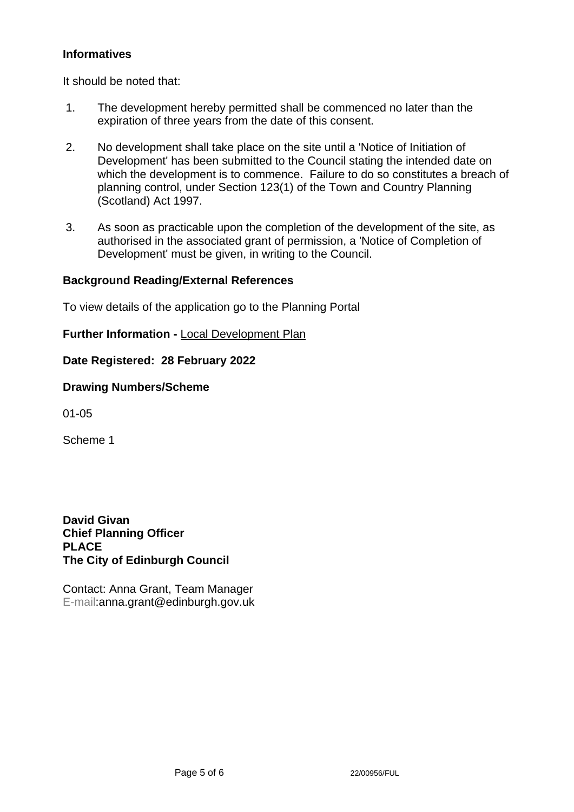### **Informatives**

It should be noted that:

- 1. The development hereby permitted shall be commenced no later than the expiration of three years from the date of this consent.
- 2. No development shall take place on the site until a 'Notice of Initiation of Development' has been submitted to the Council stating the intended date on which the development is to commence. Failure to do so constitutes a breach of planning control, under Section 123(1) of the Town and Country Planning (Scotland) Act 1997.
- 3. As soon as practicable upon the completion of the development of the site, as authorised in the associated grant of permission, a 'Notice of Completion of Development' must be given, in writing to the Council.

### **Background Reading/External References**

To view details of the application go to the Planning Portal

**Further Information -** [Local Development Plan](https://www.edinburgh.gov.uk/local-development-plan-guidance-1/edinburgh-local-development-plan/1)

**Date Registered: 28 February 2022**

**Drawing Numbers/Scheme**

01-05

Scheme 1

**David Givan Chief Planning Officer PLACE The City of Edinburgh Council**

Contact: Anna Grant, Team Manager E-mail:anna.grant@edinburgh.gov.uk